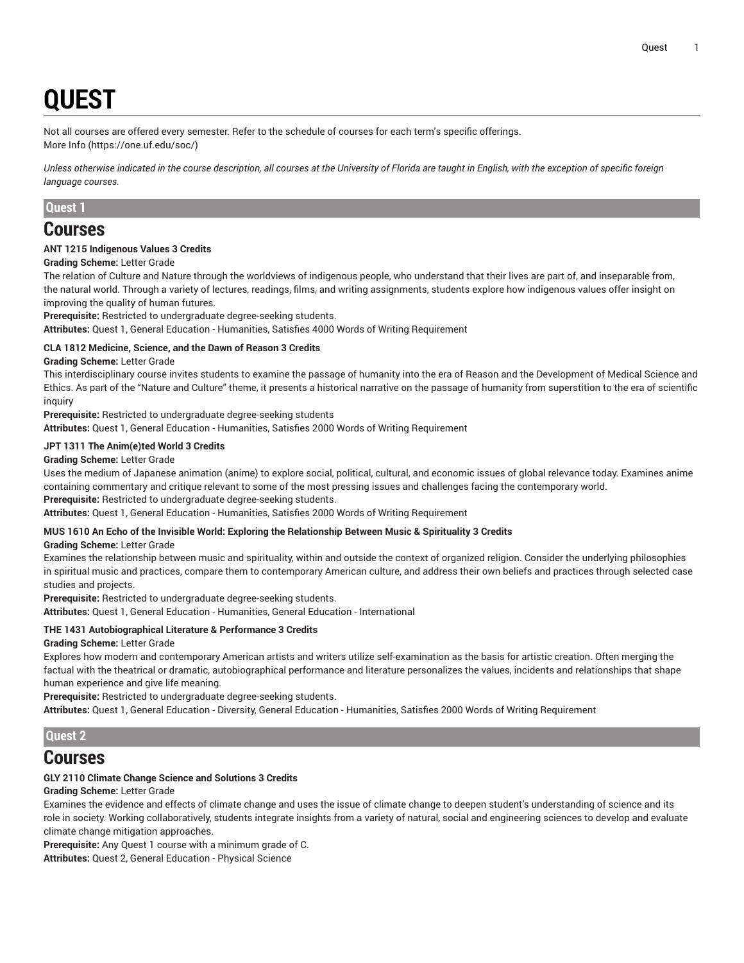# **QUEST**

Not all courses are offered every semester. Refer to the schedule of courses for each term's specific offerings.

[More](https://one.uf.edu/soc/) Info [\(https://one.uf.edu/soc/](https://one.uf.edu/soc/))

Unless otherwise indicated in the course description, all courses at the University of Florida are taught in English, with the exception of specific foreign *language courses.*

## **Quest 1**

## **Courses**

## **ANT 1215 Indigenous Values 3 Credits**

**Grading Scheme:** Letter Grade

The relation of Culture and Nature through the worldviews of indigenous people, who understand that their lives are part of, and inseparable from, the natural world. Through a variety of lectures, readings, films, and writing assignments, students explore how indigenous values offer insight on improving the quality of human futures.

**Prerequisite:** Restricted to undergraduate degree-seeking students.

**Attributes:** Quest 1, General Education - Humanities, Satisfies 4000 Words of Writing Requirement

## **CLA 1812 Medicine, Science, and the Dawn of Reason 3 Credits**

## **Grading Scheme:** Letter Grade

This interdisciplinary course invites students to examine the passage of humanity into the era of Reason and the Development of Medical Science and Ethics. As part of the "Nature and Culture" theme, it presents a historical narrative on the passage of humanity from superstition to the era of scientific inquiry

**Prerequisite:** Restricted to undergraduate degree-seeking students **Attributes:** Quest 1, General Education - Humanities, Satisfies 2000 Words of Writing Requirement

#### **JPT 1311 The Anim(e)ted World 3 Credits**

**Grading Scheme:** Letter Grade

Uses the medium of Japanese animation (anime) to explore social, political, cultural, and economic issues of global relevance today. Examines anime containing commentary and critique relevant to some of the most pressing issues and challenges facing the contemporary world.

**Prerequisite:** Restricted to undergraduate degree-seeking students.

**Attributes:** Quest 1, General Education - Humanities, Satisfies 2000 Words of Writing Requirement

## **MUS 1610 An Echo of the Invisible World: Exploring the Relationship Between Music & Spirituality 3 Credits**

**Grading Scheme:** Letter Grade

Examines the relationship between music and spirituality, within and outside the context of organized religion. Consider the underlying philosophies in spiritual music and practices, compare them to contemporary American culture, and address their own beliefs and practices through selected case studies and projects.

**Prerequisite:** Restricted to undergraduate degree-seeking students.

**Attributes:** Quest 1, General Education - Humanities, General Education - International

## **THE 1431 Autobiographical Literature & Performance 3 Credits**

## **Grading Scheme:** Letter Grade

Explores how modern and contemporary American artists and writers utilize self-examination as the basis for artistic creation. Often merging the factual with the theatrical or dramatic, autobiographical performance and literature personalizes the values, incidents and relationships that shape human experience and give life meaning.

**Prerequisite:** Restricted to undergraduate degree-seeking students.

**Attributes:** Quest 1, General Education - Diversity, General Education - Humanities, Satisfies 2000 Words of Writing Requirement

## **Quest 2**

## **Courses**

## **GLY 2110 Climate Change Science and Solutions 3 Credits**

**Grading Scheme:** Letter Grade

Examines the evidence and effects of climate change and uses the issue of climate change to deepen student's understanding of science and its role in society. Working collaboratively, students integrate insights from a variety of natural, social and engineering sciences to develop and evaluate climate change mitigation approaches.

**Prerequisite:** Any Quest 1 course with a minimum grade of C.

**Attributes:** Quest 2, General Education - Physical Science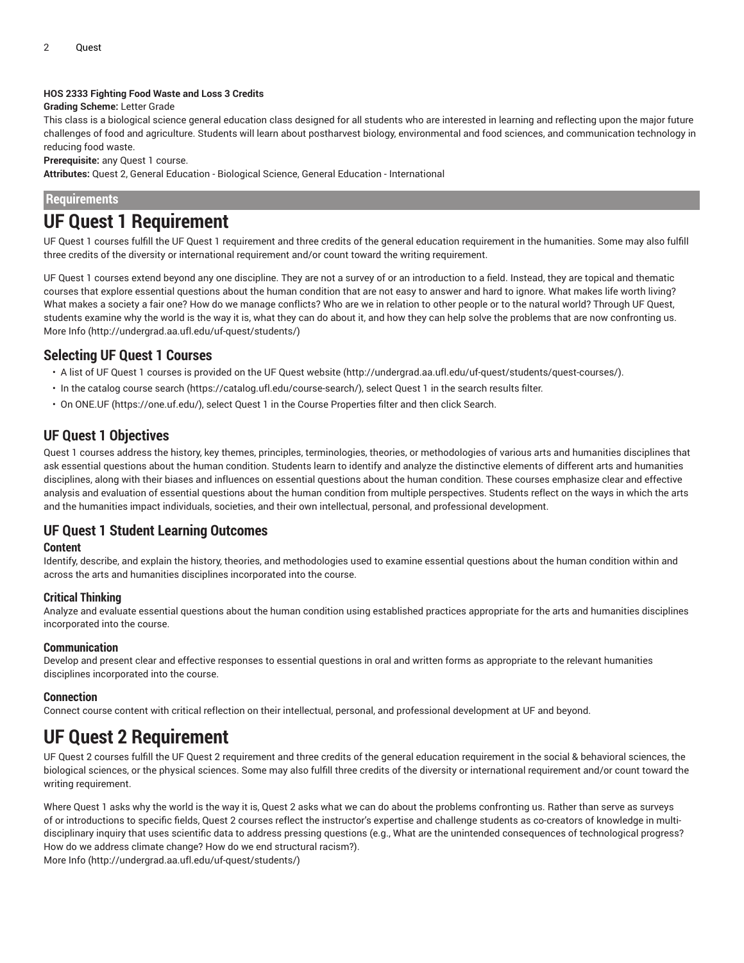#### **HOS 2333 Fighting Food Waste and Loss 3 Credits**

**Grading Scheme:** Letter Grade

This class is a biological science general education class designed for all students who are interested in learning and reflecting upon the major future challenges of food and agriculture. Students will learn about postharvest biology, environmental and food sciences, and communication technology in reducing food waste.

**Prerequisite:** any Quest 1 course.

**Attributes:** Quest 2, General Education - Biological Science, General Education - International

**Requirements**

## **UF Quest 1 Requirement**

UF Quest 1 courses fulfill the UF Quest 1 requirement and three credits of the general education requirement in the humanities. Some may also fulfill three credits of the diversity or international requirement and/or count toward the writing requirement.

UF Quest 1 courses extend beyond any one discipline. They are not a survey of or an introduction to a field. Instead, they are topical and thematic courses that explore essential questions about the human condition that are not easy to answer and hard to ignore. What makes life worth living? What makes a society a fair one? How do we manage conflicts? Who are we in relation to other people or to the natural world? Through UF Quest, students examine why the world is the way it is, what they can do about it, and how they can help solve the problems that are now confronting us. [More](http://undergrad.aa.ufl.edu/uf-quest/students/) Info [\(http://undergrad.aa.ufl.edu/uf-quest/students/](http://undergrad.aa.ufl.edu/uf-quest/students/))

## **Selecting UF Quest 1 Courses**

- A list of UF Quest 1 courses is provided on the [UF Quest website \(http://undergrad.aa.ufl.edu/uf-quest/students/quest-courses/\)](http://undergrad.aa.ufl.edu/uf-quest/students/quest-courses/).
- In the [catalog](https://catalog.ufl.edu/course-search/) course search [\(https://catalog.ufl.edu/course-search/](https://catalog.ufl.edu/course-search/)), select Quest 1 in the search results filter.
- On [ONE.UF](https://one.uf.edu/) ([https://one.uf.edu/\)](https://one.uf.edu/), select Quest 1 in the Course Properties filter and then click Search.

## **UF Quest 1 Objectives**

Quest 1 courses address the history, key themes, principles, terminologies, theories, or methodologies of various arts and humanities disciplines that ask essential questions about the human condition. Students learn to identify and analyze the distinctive elements of different arts and humanities disciplines, along with their biases and influences on essential questions about the human condition. These courses emphasize clear and effective analysis and evaluation of essential questions about the human condition from multiple perspectives. Students reflect on the ways in which the arts and the humanities impact individuals, societies, and their own intellectual, personal, and professional development.

## **UF Quest 1 Student Learning Outcomes**

## **Content**

Identify, describe, and explain the history, theories, and methodologies used to examine essential questions about the human condition within and across the arts and humanities disciplines incorporated into the course.

## **Critical Thinking**

Analyze and evaluate essential questions about the human condition using established practices appropriate for the arts and humanities disciplines incorporated into the course.

## **Communication**

Develop and present clear and effective responses to essential questions in oral and written forms as appropriate to the relevant humanities disciplines incorporated into the course.

## **Connection**

Connect course content with critical reflection on their intellectual, personal, and professional development at UF and beyond.

## **UF Quest 2 Requirement**

UF Quest 2 courses fulfill the UF Quest 2 requirement and three credits of the general education requirement in the social & behavioral sciences, the biological sciences, or the physical sciences. Some may also fulfill three credits of the diversity or international requirement and/or count toward the writing requirement.

Where Quest 1 asks why the world is the way it is, Quest 2 asks what we can do about the problems confronting us. Rather than serve as surveys of or introductions to specific fields, Quest 2 courses reflect the instructor's expertise and challenge students as co-creators of knowledge in multidisciplinary inquiry that uses scientific data to address pressing questions (e.g., What are the unintended consequences of technological progress? How do we address climate change? How do we end structural racism?).

[More](http://undergrad.aa.ufl.edu/uf-quest/students/) Info [\(http://undergrad.aa.ufl.edu/uf-quest/students/](http://undergrad.aa.ufl.edu/uf-quest/students/))